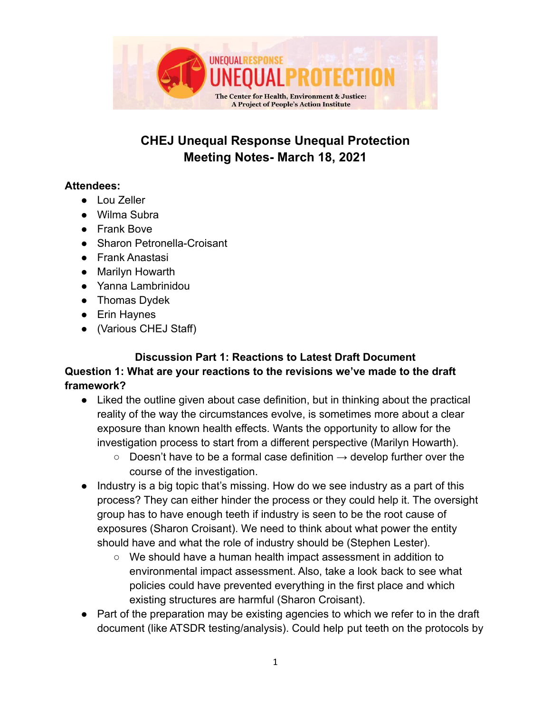

# **CHEJ Unequal Response Unequal Protection Meeting Notes- March 18, 2021**

#### **Attendees:**

- Lou Zeller
- Wilma Subra
- Frank Bove
- Sharon Petronella-Croisant
- Frank Anastasi
- Marilyn Howarth
- Yanna Lambrinidou
- Thomas Dydek
- Erin Haynes
- (Various CHEJ Staff)

#### **Discussion Part 1: Reactions to Latest Draft Document Question 1: What are your reactions to the revisions we've made to the draft framework?**

- Liked the outline given about case definition, but in thinking about the practical reality of the way the circumstances evolve, is sometimes more about a clear exposure than known health effects. Wants the opportunity to allow for the investigation process to start from a different perspective (Marilyn Howarth).
	- $\circ$  Doesn't have to be a formal case definition  $\rightarrow$  develop further over the course of the investigation.
- Industry is a big topic that's missing. How do we see industry as a part of this process? They can either hinder the process or they could help it. The oversight group has to have enough teeth if industry is seen to be the root cause of exposures (Sharon Croisant). We need to think about what power the entity should have and what the role of industry should be (Stephen Lester).
	- We should have a human health impact assessment in addition to environmental impact assessment. Also, take a look back to see what policies could have prevented everything in the first place and which existing structures are harmful (Sharon Croisant).
- Part of the preparation may be existing agencies to which we refer to in the draft document (like ATSDR testing/analysis). Could help put teeth on the protocols by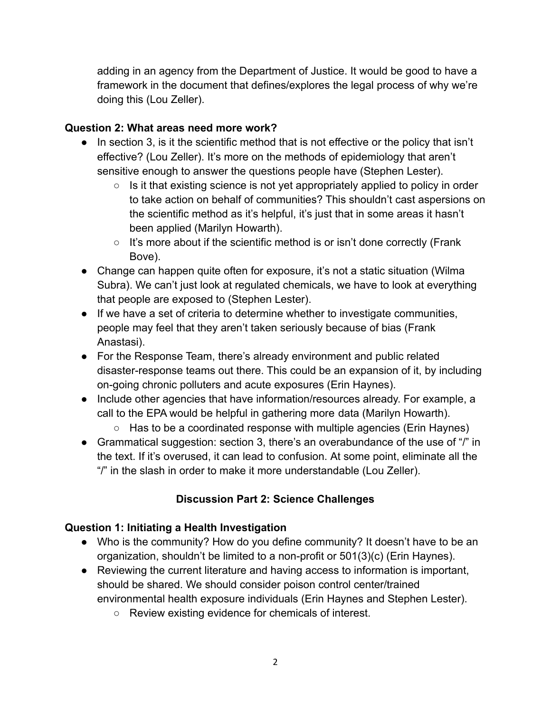adding in an agency from the Department of Justice. It would be good to have a framework in the document that defines/explores the legal process of why we're doing this (Lou Zeller).

### **Question 2: What areas need more work?**

- In section 3, is it the scientific method that is not effective or the policy that isn't effective? (Lou Zeller). It's more on the methods of epidemiology that aren't sensitive enough to answer the questions people have (Stephen Lester).
	- $\circ$  Is it that existing science is not yet appropriately applied to policy in order to take action on behalf of communities? This shouldn't cast aspersions on the scientific method as it's helpful, it's just that in some areas it hasn't been applied (Marilyn Howarth).
	- It's more about if the scientific method is or isn't done correctly (Frank Bove).
- Change can happen quite often for exposure, it's not a static situation (Wilma) Subra). We can't just look at regulated chemicals, we have to look at everything that people are exposed to (Stephen Lester).
- If we have a set of criteria to determine whether to investigate communities, people may feel that they aren't taken seriously because of bias (Frank Anastasi).
- For the Response Team, there's already environment and public related disaster-response teams out there. This could be an expansion of it, by including on-going chronic polluters and acute exposures (Erin Haynes).
- Include other agencies that have information/resources already. For example, a call to the EPA would be helpful in gathering more data (Marilyn Howarth).
	- Has to be a coordinated response with multiple agencies (Erin Haynes)
- Grammatical suggestion: section 3, there's an overabundance of the use of "/" in the text. If it's overused, it can lead to confusion. At some point, eliminate all the "/" in the slash in order to make it more understandable (Lou Zeller).

## **Discussion Part 2: Science Challenges**

#### **Question 1: Initiating a Health Investigation**

- Who is the community? How do you define community? It doesn't have to be an organization, shouldn't be limited to a non-profit or 501(3)(c) (Erin Haynes).
- Reviewing the current literature and having access to information is important, should be shared. We should consider poison control center/trained environmental health exposure individuals (Erin Haynes and Stephen Lester).
	- Review existing evidence for chemicals of interest.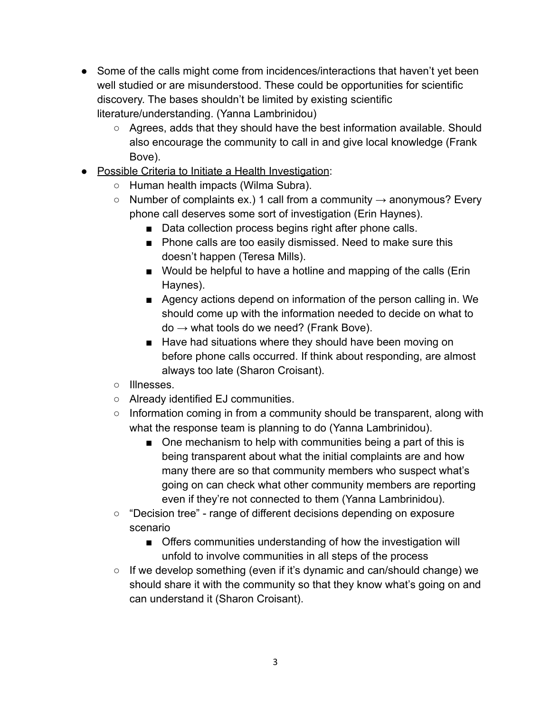- Some of the calls might come from incidences/interactions that haven't yet been well studied or are misunderstood. These could be opportunities for scientific discovery. The bases shouldn't be limited by existing scientific literature/understanding. (Yanna Lambrinidou)
	- Agrees, adds that they should have the best information available. Should also encourage the community to call in and give local knowledge (Frank Bove).
- Possible Criteria to Initiate a Health Investigation:
	- Human health impacts (Wilma Subra).
	- $\circ$  Number of complaints ex.) 1 call from a community  $\rightarrow$  anonymous? Every phone call deserves some sort of investigation (Erin Haynes).
		- Data collection process begins right after phone calls.
		- Phone calls are too easily dismissed. Need to make sure this doesn't happen (Teresa Mills).
		- Would be helpful to have a hotline and mapping of the calls (Erin Haynes).
		- Agency actions depend on information of the person calling in. We should come up with the information needed to decide on what to  $do \rightarrow what tools do we need?$  (Frank Bove).
		- Have had situations where they should have been moving on before phone calls occurred. If think about responding, are almost always too late (Sharon Croisant).
	- Illnesses.
	- Already identified EJ communities.
	- o Information coming in from a community should be transparent, along with what the response team is planning to do (Yanna Lambrinidou).
		- One mechanism to help with communities being a part of this is being transparent about what the initial complaints are and how many there are so that community members who suspect what's going on can check what other community members are reporting even if they're not connected to them (Yanna Lambrinidou).
	- "Decision tree" range of different decisions depending on exposure scenario
		- Offers communities understanding of how the investigation will unfold to involve communities in all steps of the process
	- If we develop something (even if it's dynamic and can/should change) we should share it with the community so that they know what's going on and can understand it (Sharon Croisant).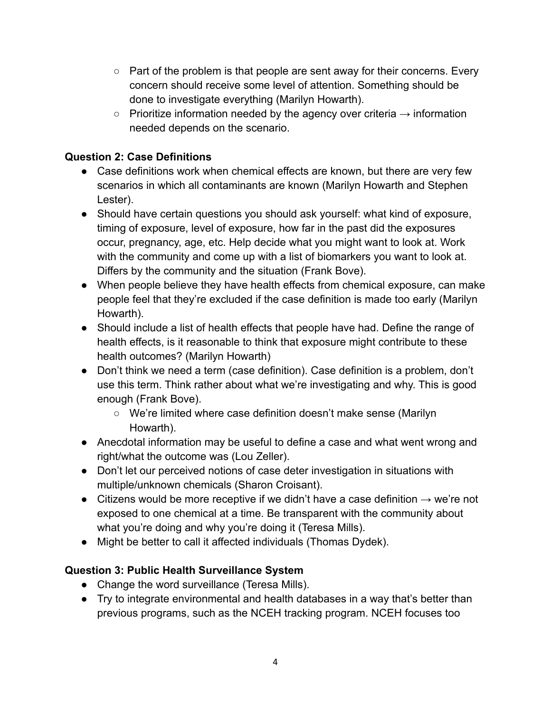- $\circ$  Part of the problem is that people are sent away for their concerns. Every concern should receive some level of attention. Something should be done to investigate everything (Marilyn Howarth).
- $\circ$  Prioritize information needed by the agency over criteria  $\rightarrow$  information needed depends on the scenario.

## **Question 2: Case Definitions**

- Case definitions work when chemical effects are known, but there are very few scenarios in which all contaminants are known (Marilyn Howarth and Stephen Lester).
- Should have certain questions you should ask yourself: what kind of exposure, timing of exposure, level of exposure, how far in the past did the exposures occur, pregnancy, age, etc. Help decide what you might want to look at. Work with the community and come up with a list of biomarkers you want to look at. Differs by the community and the situation (Frank Bove).
- When people believe they have health effects from chemical exposure, can make people feel that they're excluded if the case definition is made too early (Marilyn Howarth).
- Should include a list of health effects that people have had. Define the range of health effects, is it reasonable to think that exposure might contribute to these health outcomes? (Marilyn Howarth)
- Don't think we need a term (case definition). Case definition is a problem, don't use this term. Think rather about what we're investigating and why. This is good enough (Frank Bove).
	- We're limited where case definition doesn't make sense (Marilyn Howarth).
- Anecdotal information may be useful to define a case and what went wrong and right/what the outcome was (Lou Zeller).
- Don't let our perceived notions of case deter investigation in situations with multiple/unknown chemicals (Sharon Croisant).
- Citizens would be more receptive if we didn't have a case definition  $\rightarrow$  we're not exposed to one chemical at a time. Be transparent with the community about what you're doing and why you're doing it (Teresa Mills).
- Might be better to call it affected individuals (Thomas Dydek).

## **Question 3: Public Health Surveillance System**

- Change the word surveillance (Teresa Mills).
- Try to integrate environmental and health databases in a way that's better than previous programs, such as the NCEH tracking program. NCEH focuses too